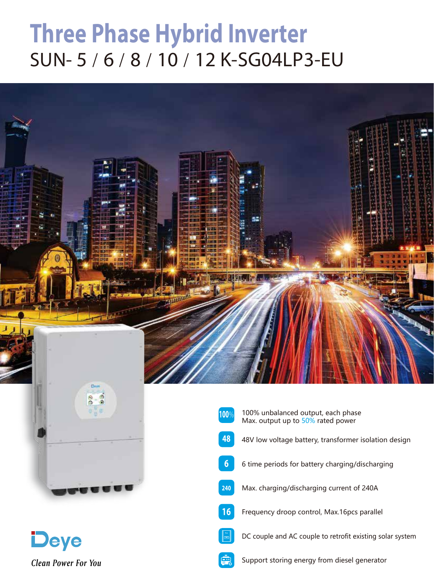## **Three Phase Hybrid Inverter** SUN-5/6/8/10/12 K-SG04LP3-EU